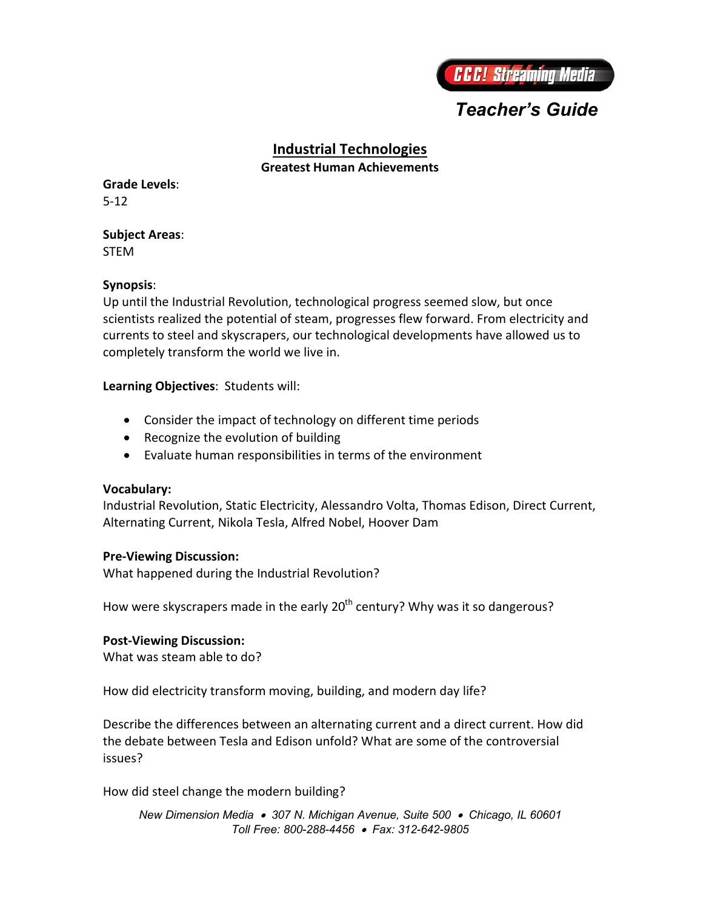

# *Teacher's Guide*

## **Industrial Technologies**

**Greatest Human Achievements**

**Grade Levels**: 5-12

**Subject Areas**: STEM

#### **Synopsis**:

Up until the Industrial Revolution, technological progress seemed slow, but once scientists realized the potential of steam, progresses flew forward. From electricity and currents to steel and skyscrapers, our technological developments have allowed us to completely transform the world we live in.

**Learning Objectives**: Students will:

- Consider the impact of technology on different time periods
- Recognize the evolution of building
- Evaluate human responsibilities in terms of the environment

#### **Vocabulary:**

Industrial Revolution, Static Electricity, Alessandro Volta, Thomas Edison, Direct Current, Alternating Current, Nikola Tesla, Alfred Nobel, Hoover Dam

#### **Pre-Viewing Discussion:**

What happened during the Industrial Revolution?

How were skyscrapers made in the early  $20<sup>th</sup>$  century? Why was it so dangerous?

### **Post-Viewing Discussion:**

What was steam able to do?

How did electricity transform moving, building, and modern day life?

Describe the differences between an alternating current and a direct current. How did the debate between Tesla and Edison unfold? What are some of the controversial issues?

How did steel change the modern building?

*New Dimension Media 307 N. Michigan Avenue, Suite 500 Chicago, IL 60601 Toll Free: 800-288-4456 Fax: 312-642-9805*